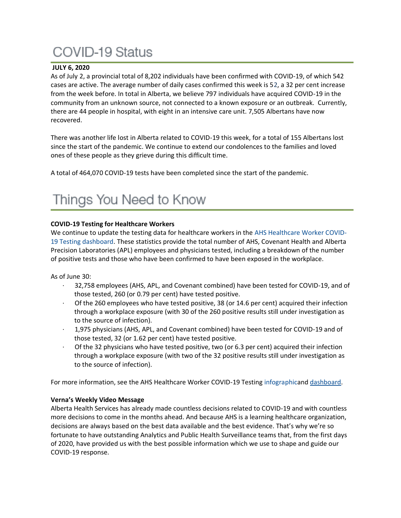## **COVID-19 Status**

## **JULY 6, 2020**

As of July 2, a provincial total of 8,202 individuals have been confirmed with COVID-19, of which 542 cases are active. The average number of daily cases confirmed this week is 52, a 32 per cent increase from the week before. In total in Alberta, we believe 797 individuals have acquired COVID-19 in the community from an unknown source, not connected to a known exposure or an outbreak. Currently, there are 44 people in hospital, with eight in an intensive care unit. 7,505 Albertans have now recovered.

There was another life lost in Alberta related to COVID-19 this week, for a total of 155 Albertans lost since the start of the pandemic. We continue to extend our condolences to the families and loved ones of these people as they grieve during this difficult time.

A total of 464,070 COVID-19 tests have been completed since the start of the pandemic.

# Things You Need to Know

## **COVID-19 Testing for Healthcare Workers**

We continue to update the testing data for healthcare workers in the [AHS Healthcare Worker COVID-](https://tableau.albertahealthservices.ca/#/views/AHSEmployeePhysicianCOVID-19TestSurveillanceDashboard/Introduction?:iid=1)[19 Testing dashboard.](https://tableau.albertahealthservices.ca/#/views/AHSEmployeePhysicianCOVID-19TestSurveillanceDashboard/Introduction?:iid=1) These statistics provide the total number of AHS, Covenant Health and Alberta Precision Laboratories (APL) employees and physicians tested, including a breakdown of the number of positive tests and those who have been confirmed to have been exposed in the workplace.

As of June 30:

- · 32,758 employees (AHS, APL, and Covenant combined) have been tested for COVID-19, and of those tested, 260 (or 0.79 per cent) have tested positive.
- · Of the 260 employees who have tested positive, 38 (or 14.6 per cent) acquired their infection through a workplace exposure (with 30 of the 260 positive results still under investigation as to the source of infection).
- · 1,975 physicians (AHS, APL, and Covenant combined) have been tested for COVID-19 and of those tested, 32 (or 1.62 per cent) have tested positive.
- Of the 32 physicians who have tested positive, two (or 6.3 per cent) acquired their infection through a workplace exposure (with two of the 32 positive results still under investigation as to the source of infection).

For more information, see the AHS Healthcare Worker COVID-19 Testing [infographica](https://insite.albertahealthservices.ca/main/assets/tls/ep/tls-ep-covid-19-healthcare-worker-testing-infographic.pdf)nd [dashboard.](https://tableau.albertahealthservices.ca/#/views/AHSEmployeePhysicianCOVID-19TestSurveillanceDashboard/Introduction?:iid=1)

## **Verna's Weekly Video Message**

Alberta Health Services has already made countless decisions related to COVID-19 and with countless more decisions to come in the months ahead. And because AHS is a learning healthcare organization, decisions are always based on the best data available and the best evidence. That's why we're so fortunate to have outstanding Analytics and Public Health Surveillance teams that, from the first days of 2020, have provided us with the best possible information which we use to shape and guide our COVID-19 response.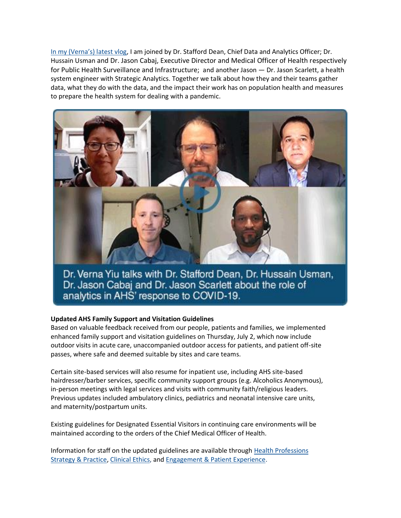[In my \(Verna's\) latest vlog](https://www.albertahealthservices.ca/Blogs/ceo/279.aspx), I am joined by Dr. Stafford Dean, Chief Data and Analytics Officer; Dr. Hussain Usman and Dr. Jason Cabaj, Executive Director and Medical Officer of Health respectively for Public Health Surveillance and Infrastructure; and another Jason — Dr. Jason Scarlett, a health system engineer with Strategic Analytics. Together we talk about how they and their teams gather data, what they do with the data, and the impact their work has on population health and measures to prepare the health system for dealing with a pandemic.



Dr. Verna Yiu talks with Dr. Stafford Dean, Dr. Hussain Usman, Dr. Jason Cabaj and Dr. Jason Scarlett about the role of analytics in AHS' response to COVID-19.

## **Updated AHS Family Support and Visitation Guidelines**

Based on valuable feedback received from our people, patients and families, we implemented enhanced family support and visitation guidelines on Thursday, July 2, which now include outdoor visits in acute care, unaccompanied outdoor access for patients, and patient off-site passes, where safe and deemed suitable by sites and care teams.

Certain site-based services will also resume for inpatient use, including AHS site-based hairdresser/barber services, specific community support groups (e.g. Alcoholics Anonymous), in-person meetings with legal services and visits with community faith/religious leaders. Previous updates included ambulatory clinics, pediatrics and neonatal intensive care units, and maternity/postpartum units.

Existing guidelines for Designated Essential Visitors in continuing care environments will be maintained according to the orders of the Chief Medical Officer of Health.

Information for staff on the updated guidelines are available through [Health Professions](https://insite.albertahealthservices.ca/hpsp/Page7864.aspx)  [Strategy & Practice,](https://insite.albertahealthservices.ca/hpsp/Page7864.aspx) [Clinical Ethics,](https://insite.albertahealthservices.ca/qhi/Page9990.aspx) and [Engagement & Patient Experience.](https://insite.albertahealthservices.ca/qhi/Page17155.aspx)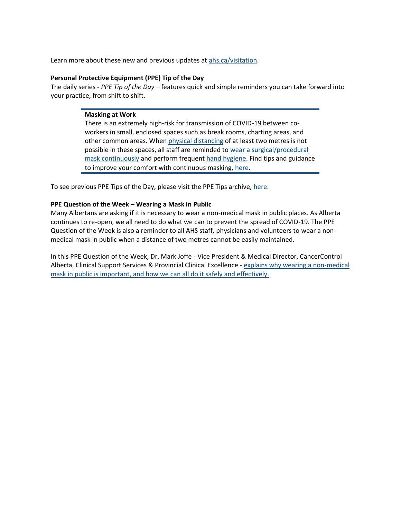Learn more about these new and previous updates at [ahs.ca/visitation.](http://www.ahs.ca/visitation)

## **Personal Protective Equipment (PPE) Tip of the Day**

The daily series - *PPE Tip of the Day* – features quick and simple reminders you can take forward into your practice, from shift to shift.

## **Masking at Work**

There is an extremely high-risk for transmission of COVID-19 between coworkers in small, enclosed spaces such as break rooms, charting areas, and other common areas. When [physical distancing](https://www.albertahealthservices.ca/topics/Page16997.aspx#social) of at least two metres is not possible in these spaces, all staff are reminded to [wear a surgical/procedural](https://www.albertahealthservices.ca/assets/info/ppih/if-ppih-covid-19-ppe-continuous-use-guidance-masking.pdf)  [mask continuously](https://www.albertahealthservices.ca/assets/info/ppih/if-ppih-covid-19-ppe-continuous-use-guidance-masking.pdf) and perform frequent [hand hygiene.](https://www.albertahealthservices.ca/assets/healthinfo/ipc/if-hp-ipc-flu-handwash-how-to.pdf) Find tips and guidance to improve your comfort with continuous masking, [here.](https://www.albertahealthservices.ca/assets/info/ppih/if-ppih-covid-19-guidance-continuous-masking-work-for-you.pdf)

To see previous PPE Tips of the Day, please visit the PPE Tips archive, [here.](https://www.albertahealthservices.ca/topics/Page17119.aspx)

## **PPE Question of the Week – Wearing a Mask in Public**

Many Albertans are asking if it is necessary to wear a non-medical mask in public places. As Alberta continues to re-open, we all need to do what we can to prevent the spread of COVID-19. The PPE Question of the Week is also a reminder to all AHS staff, physicians and volunteers to wear a nonmedical mask in public when a distance of two metres cannot be easily maintained.

In this PPE Question of the Week, Dr. Mark Joffe - Vice President & Medical Director, CancerControl Alberta, Clinical Support Services & Provincial Clinical Excellence - [explains why wearing a non-medical](https://www.albertahealthservices.ca/topics/Page17119.aspx#ppedodont)  [mask in public is important, and how we can all do it safely and effectively.](https://www.albertahealthservices.ca/topics/Page17119.aspx#ppedodont)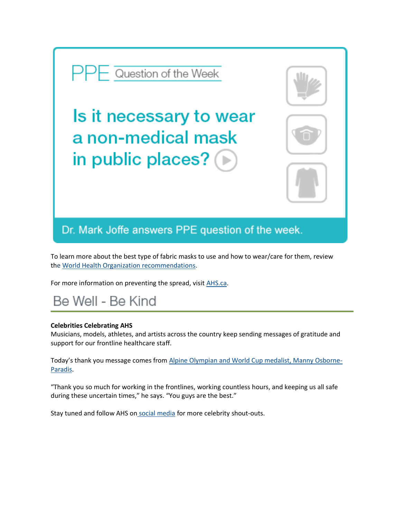

To learn more about the best type of fabric masks to use and how to wear/care for them, review the [World Health Organization recommendations.](https://www.who.int/emergencies/diseases/novel-coronavirus-2019/question-and-answers-hub/q-a-detail/q-a-on-covid-19-and-masks)

For more information on preventing the spread, visit [AHS.ca.](https://www.albertahealthservices.ca/topics/Page17166.aspx)

## Be Well - Be Kind

## **Celebrities Celebrating AHS**

Musicians, models, athletes, and artists across the country keep sending messages of gratitude and support for our frontline healthcare staff.

Today's thank you message comes from [Alpine Olympian and World Cup medalist, Manny Osborne-](https://www.youtube.com/watch?v=oNuC6WPe_qU&feature=youtu.be)[Paradis.](https://www.youtube.com/watch?v=oNuC6WPe_qU&feature=youtu.be)

"Thank you so much for working in the frontlines, working countless hours, and keeping us all safe during these uncertain times," he says. "You guys are the best."

Stay tuned and follow AHS on social [media](https://www.instagram.com/albertahealthservices/) for more celebrity shout-outs.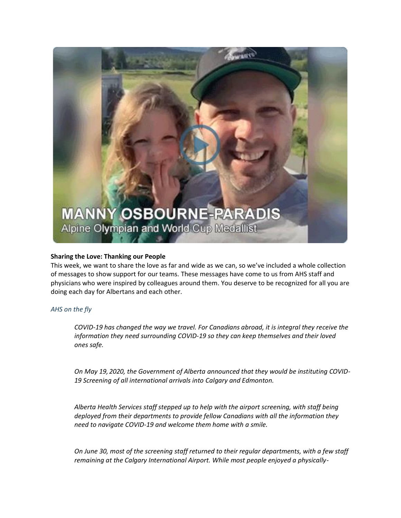## **MANNY OSBOURNE-PARADIS** Alpine Olympian and World Cup Medallist

### **Sharing the Love: Thanking our People**

This week, we want to share the love as far and wide as we can, so we've included a whole collection of messages to show support for our teams. These messages have come to us from AHS staff and physicians who were inspired by colleagues around them. You deserve to be recognized for all you are doing each day for Albertans and each other.

### *AHS on the fly*

*COVID-19 has changed the way we travel. For Canadians abroad, it is integral they receive the information they need surrounding COVID-19 so they can keep themselves and their loved ones safe.*

*On May 19, 2020, the Government of Alberta announced that they would be instituting COVID-19 Screening of all international arrivals into Calgary and Edmonton.*

*Alberta Health Services staff stepped up to help with the airport screening, with staff being deployed from their departments to provide fellow Canadians with all the information they need to navigate COVID-19 and welcome them home with a smile.*

*On June 30, most of the screening staff returned to their regular departments, with a few staff remaining at the Calgary International Airport. While most people enjoyed a physically-*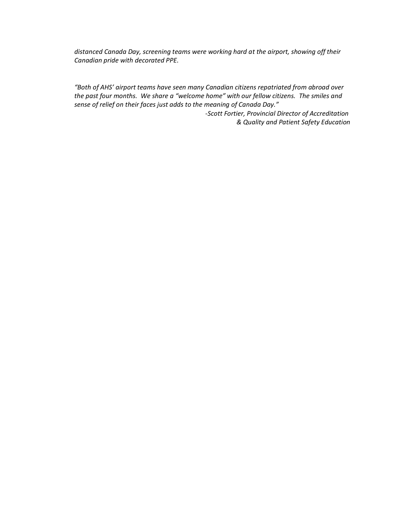*distanced Canada Day, screening teams were working hard at the airport, showing off their Canadian pride with decorated PPE.*

*"Both of AHS' airport teams have seen many Canadian citizens repatriated from abroad over the past four months. We share a "welcome home" with our fellow citizens. The smiles and sense of relief on their faces just adds to the meaning of Canada Day."*

*-Scott Fortier, Provincial Director of Accreditation & Quality and Patient Safety Education*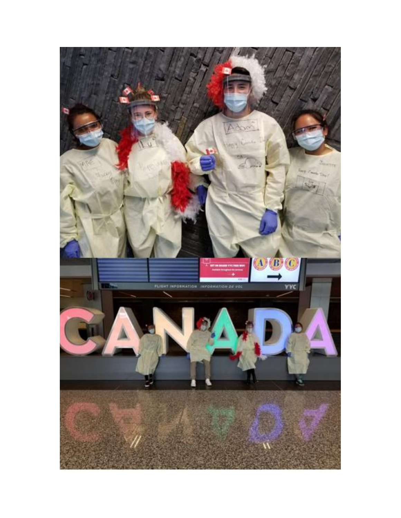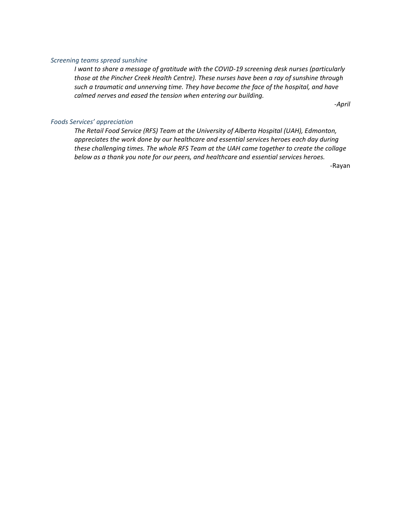#### *Screening teams spread sunshine*

*I want to share a message of gratitude with the COVID-19 screening desk nurses (particularly those at the Pincher Creek Health Centre). These nurses have been a ray of sunshine through such a traumatic and unnerving time. They have become the face of the hospital, and have calmed nerves and eased the tension when entering our building.*

*-April*

#### *Foods Services' appreciation*

*The Retail Food Service (RFS) Team at the University of Alberta Hospital (UAH), Edmonton, appreciates the work done by our healthcare and essential services heroes each day during these challenging times. The whole RFS Team at the UAH came together to create the collage below as a thank you note for our peers, and healthcare and essential services heroes.*

-Rayan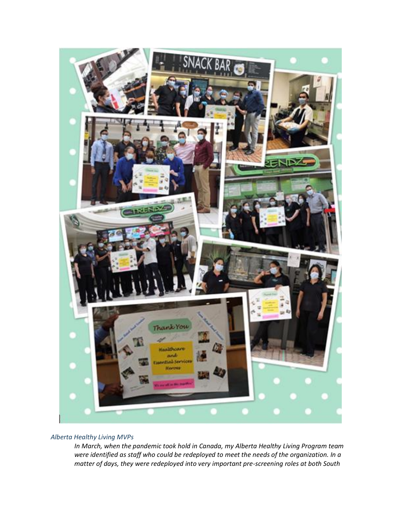

## *Alberta Healthy Living MVPs*

*In March, when the pandemic took hold in Canada, my Alberta Healthy Living Program team were identified as staff who could be redeployed to meet the needs of the organization. In a matter of days, they were redeployed into very important pre-screening roles at both South*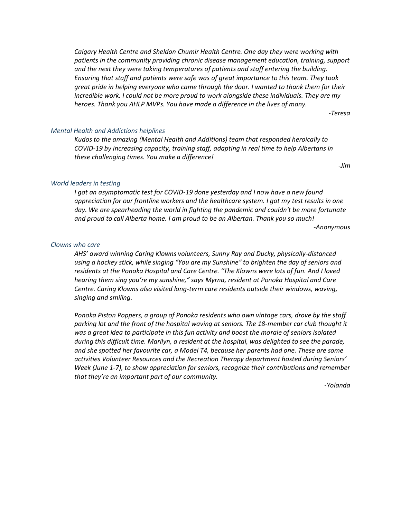*Calgary Health Centre and Sheldon Chumir Health Centre. One day they were working with patients in the community providing chronic disease management education, training, support and the next they were taking temperatures of patients and staff entering the building. Ensuring that staff and patients were safe was of great importance to this team. They took great pride in helping everyone who came through the door. I wanted to thank them for their incredible work. I could not be more proud to work alongside these individuals. They are my heroes. Thank you AHLP MVPs. You have made a difference in the lives of many.*

*-Teresa*

#### *Mental Health and Addictions helplines*

*Kudos to the amazing (Mental Health and Additions) team that responded heroically to COVID-19 by increasing capacity, training staff, adapting in real time to help Albertans in these challenging times. You make a difference!*

*-Jim*

## *World leaders in testing*

*I got an asymptomatic test for COVID-19 done yesterday and I now have a new found appreciation for our frontline workers and the healthcare system. I got my test results in one day. We are spearheading the world in fighting the pandemic and couldn't be more fortunate and proud to call Alberta home. I am proud to be an Albertan. Thank you so much!*

*-Anonymous*

#### *Clowns who care*

*AHS' award winning Caring Klowns volunteers, Sunny Ray and Ducky, physically-distanced using a hockey stick, while singing "You are my Sunshine" to brighten the day of seniors and residents at the Ponoka Hospital and Care Centre. "The Klowns were lots of fun. And I loved hearing them sing you're my sunshine," says Myrna, resident at Ponoka Hospital and Care Centre. Caring Klowns also visited long-term care residents outside their windows, waving, singing and smiling.*

*Ponoka Piston Poppers, a group of Ponoka residents who own vintage cars, drove by the staff parking lot and the front of the hospital waving at seniors. The 18-member car club thought it was a great idea to participate in this fun activity and boost the morale of seniors isolated during this difficult time. Marilyn, a resident at the hospital, was delighted to see the parade, and she spotted her favourite car, a Model T4, because her parents had one. These are some activities Volunteer Resources and the Recreation Therapy department hosted during Seniors' Week (June 1-7), to show appreciation for seniors, recognize their contributions and remember that they're an important part of our community.*

*-Yolanda*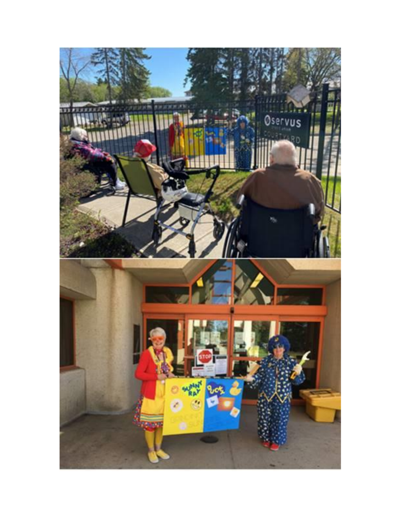